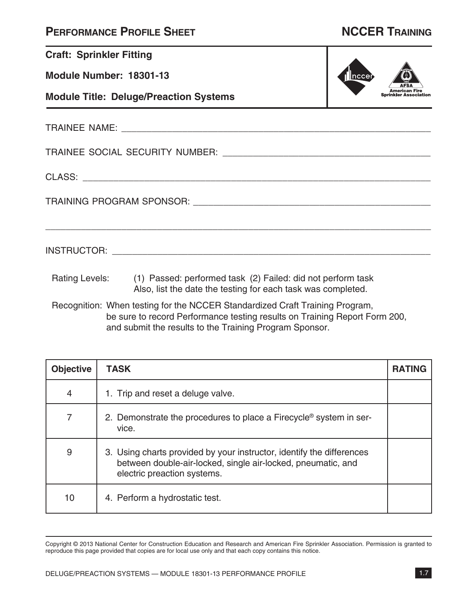|  | <b>PERFORMANCE PROFILE SHEET</b> |
|--|----------------------------------|
|--|----------------------------------|

# **NCCER TRAINING**

American Fire<br>Sprinkler Association

|ncce

| <b>Craft: Sprinkler Fitting</b> |  |  |  |
|---------------------------------|--|--|--|
|---------------------------------|--|--|--|

**Module Number: 18301-13**

**Module Title: Deluge/Preaction Systems**

TRAINEE NAME: \_\_\_\_\_\_\_\_\_\_\_\_\_\_\_\_\_\_\_\_\_\_\_\_\_\_\_\_\_\_\_\_\_\_\_\_\_\_\_\_\_\_\_\_\_\_\_\_\_\_\_\_\_\_\_\_\_\_\_\_\_

TRAINEE SOCIAL SECURITY NUMBER: \_\_\_\_\_\_\_\_\_\_\_\_\_\_\_\_\_\_\_\_\_\_\_\_\_\_\_\_\_\_\_\_\_\_\_\_\_\_\_\_\_

CLASS: \_\_\_\_\_\_\_\_\_\_\_\_\_\_\_\_\_\_\_\_\_\_\_\_\_\_\_\_\_\_\_\_\_\_\_\_\_\_\_\_\_\_\_\_\_\_\_\_\_\_\_\_\_\_\_\_\_\_\_\_\_\_\_\_\_\_\_\_

TRAINING PROGRAM SPONSOR: \_\_\_\_\_\_\_\_\_\_\_\_\_\_\_\_\_\_\_\_\_\_\_\_\_\_\_\_\_\_\_\_\_\_\_\_\_\_\_\_\_\_\_\_\_\_\_

INSTRUCTOR: \_\_\_\_\_\_\_\_\_\_\_\_\_\_\_\_\_\_\_\_\_\_\_\_\_\_\_\_\_\_\_\_\_\_\_\_\_\_\_\_\_\_\_\_\_\_\_\_\_\_\_\_\_\_\_\_\_\_\_\_\_\_\_

Rating Levels: (1) Passed: performed task (2) Failed: did not perform task Also, list the date the testing for each task was completed.

Recognition: When testing for the NCCER Standardized Craft Training Program, be sure to record Performance testing results on Training Report Form 200, and submit the results to the Training Program Sponsor.

\_\_\_\_\_\_\_\_\_\_\_\_\_\_\_\_\_\_\_\_\_\_\_\_\_\_\_\_\_\_\_\_\_\_\_\_\_\_\_\_\_\_\_\_\_\_\_\_\_\_\_\_\_\_\_\_\_\_\_\_\_\_\_\_\_\_\_\_\_\_\_\_\_\_\_\_

| <b>Objective</b> | <b>TASK</b>                                                                                                                                                          | <b>RATING</b> |
|------------------|----------------------------------------------------------------------------------------------------------------------------------------------------------------------|---------------|
| 4                | 1. Trip and reset a deluge valve.                                                                                                                                    |               |
| 7                | 2. Demonstrate the procedures to place a Firecycle <sup>®</sup> system in ser-<br>vice.                                                                              |               |
| 9                | 3. Using charts provided by your instructor, identify the differences<br>between double-air-locked, single air-locked, pneumatic, and<br>electric preaction systems. |               |
| 10               | 4. Perform a hydrostatic test.                                                                                                                                       |               |

Copyright © 2013 National Center for Construction Education and Research and American Fire Sprinkler Association. Permission is granted to reproduce this page provided that copies are for local use only and that each copy contains this notice.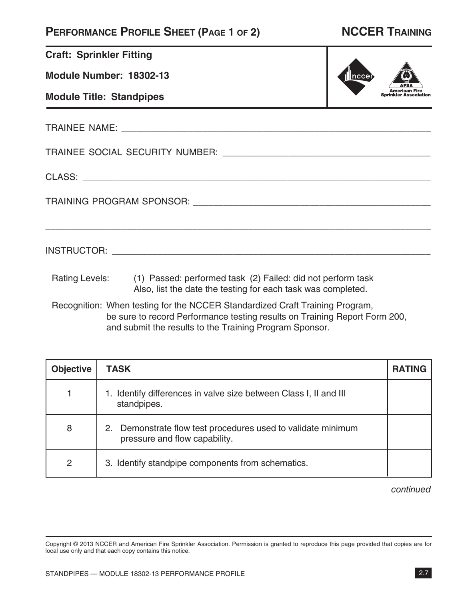## **PERFORMANCE PROFILE SHEET (PAGE 1 OF 2) NCCER TRAINING**

American Fire<br>Sprinkler Association

|ncce

| <b>Craft: Sprinkler Fitting</b> |
|---------------------------------|
|---------------------------------|

**Module Number: 18302-13**

**Module Title: Standpipes**

TRAINEE NAME: \_\_\_\_\_\_\_\_\_\_\_\_\_\_\_\_\_\_\_\_\_\_\_\_\_\_\_\_\_\_\_\_\_\_\_\_\_\_\_\_\_\_\_\_\_\_\_\_\_\_\_\_\_\_\_\_\_\_\_\_\_

TRAINEE SOCIAL SECURITY NUMBER: \_\_\_\_\_\_\_\_\_\_\_\_\_\_\_\_\_\_\_\_\_\_\_\_\_\_\_\_\_\_\_\_\_\_\_\_\_\_\_\_\_

CLASS: \_\_\_\_\_\_\_\_\_\_\_\_\_\_\_\_\_\_\_\_\_\_\_\_\_\_\_\_\_\_\_\_\_\_\_\_\_\_\_\_\_\_\_\_\_\_\_\_\_\_\_\_\_\_\_\_\_\_\_\_\_\_\_\_\_\_\_\_

TRAINING PROGRAM SPONSOR: \_\_\_\_\_\_\_\_\_\_\_\_\_\_\_\_\_\_\_\_\_\_\_\_\_\_\_\_\_\_\_\_\_\_\_\_\_\_\_\_\_\_\_\_\_\_\_

INSTRUCTOR: \_\_\_\_\_\_\_\_\_\_\_\_\_\_\_\_\_\_\_\_\_\_\_\_\_\_\_\_\_\_\_\_\_\_\_\_\_\_\_\_\_\_\_\_\_\_\_\_\_\_\_\_\_\_\_\_\_\_\_\_\_\_\_

Rating Levels: (1) Passed: performed task (2) Failed: did not perform task Also, list the date the testing for each task was completed.

Recognition: When testing for the NCCER Standardized Craft Training Program, be sure to record Performance testing results on Training Report Form 200, and submit the results to the Training Program Sponsor.

\_\_\_\_\_\_\_\_\_\_\_\_\_\_\_\_\_\_\_\_\_\_\_\_\_\_\_\_\_\_\_\_\_\_\_\_\_\_\_\_\_\_\_\_\_\_\_\_\_\_\_\_\_\_\_\_\_\_\_\_\_\_\_\_\_\_\_\_\_\_\_\_\_\_\_\_

| <b>Objective</b> | <b>TASK</b>                                                                                      | <b>RATING</b> |
|------------------|--------------------------------------------------------------------------------------------------|---------------|
|                  | 1. Identify differences in valve size between Class I, II and III<br>standpipes.                 |               |
| 8                | Demonstrate flow test procedures used to validate minimum<br>2.<br>pressure and flow capability. |               |
| 2                | 3. Identify standpipe components from schematics.                                                |               |

continued

Copyright © 2013 NCCER and American Fire Sprinkler Association. Permission is granted to reproduce this page provided that copies are for local use only and that each copy contains this notice.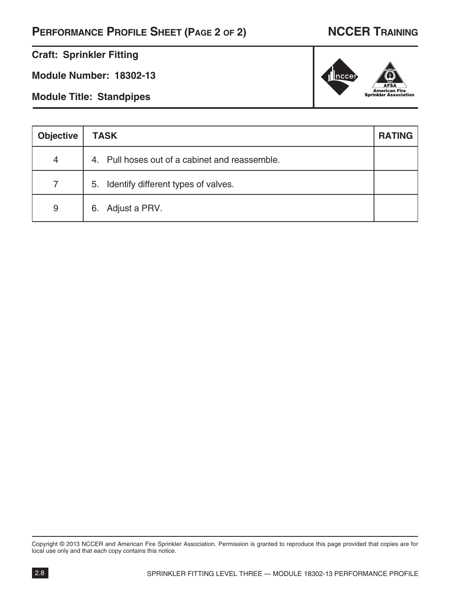## **PERFORMANCE PROFILE SHEET (PAGE 2 OF 2) NCCER TRAINING**

### **Craft: Sprinkler Fitting**

**Module Number: 18302-13**

**Module Title: Standpipes**

| <b>Objective</b> | <b>TASK</b>                                    | <b>RATING</b> |
|------------------|------------------------------------------------|---------------|
| 4                | 4. Pull hoses out of a cabinet and reassemble. |               |
| $\overline{7}$   | 5. Identify different types of valves.         |               |
| 9                | 6. Adjust a PRV.                               |               |

Copyright © 2013 NCCER and American Fire Sprinkler Association. Permission is granted to reproduce this page provided that copies are for local use only and that each copy contains this notice.

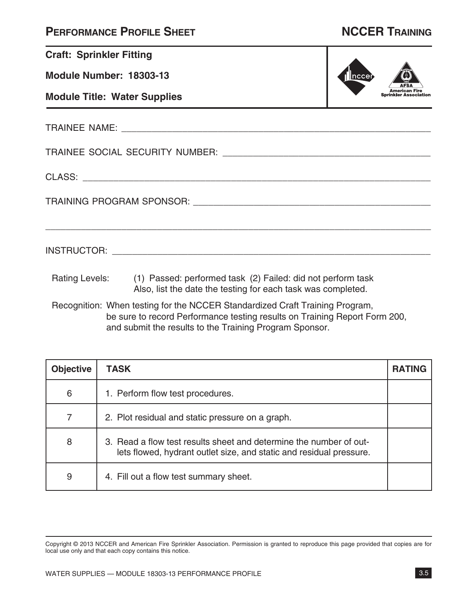| <b>PERFORMANCE PROFILE SHEET</b> |  |  |
|----------------------------------|--|--|
|----------------------------------|--|--|

## **NCCER TRAINING**

| <b>Craft: Sprinkler Fitting</b>     |                                                                                                                                            |                              |
|-------------------------------------|--------------------------------------------------------------------------------------------------------------------------------------------|------------------------------|
| Module Number: 18303-13             |                                                                                                                                            | ncce                         |
| <b>Module Title: Water Supplies</b> |                                                                                                                                            | <b>Sprinkler Association</b> |
|                                     |                                                                                                                                            |                              |
|                                     |                                                                                                                                            |                              |
|                                     |                                                                                                                                            |                              |
|                                     |                                                                                                                                            |                              |
|                                     |                                                                                                                                            |                              |
|                                     | Rating Levels: (1) Passed: performed task (2) Failed: did not perform task<br>Also, list the date the testing for each task was completed. |                              |
|                                     |                                                                                                                                            |                              |

Recognition: When testing for the NCCER Standardized Craft Training Program, be sure to record Performance testing results on Training Report Form 200, and submit the results to the Training Program Sponsor.

| <b>Objective</b> | <b>TASK</b>                                                                                                                               | <b>RATING</b> |
|------------------|-------------------------------------------------------------------------------------------------------------------------------------------|---------------|
| 6                | 1. Perform flow test procedures.                                                                                                          |               |
| $\overline{7}$   | 2. Plot residual and static pressure on a graph.                                                                                          |               |
| 8                | 3. Read a flow test results sheet and determine the number of out-<br>lets flowed, hydrant outlet size, and static and residual pressure. |               |
| 9                | 4. Fill out a flow test summary sheet.                                                                                                    |               |

Copyright © 2013 NCCER and American Fire Sprinkler Association. Permission is granted to reproduce this page provided that copies are for local use only and that each copy contains this notice.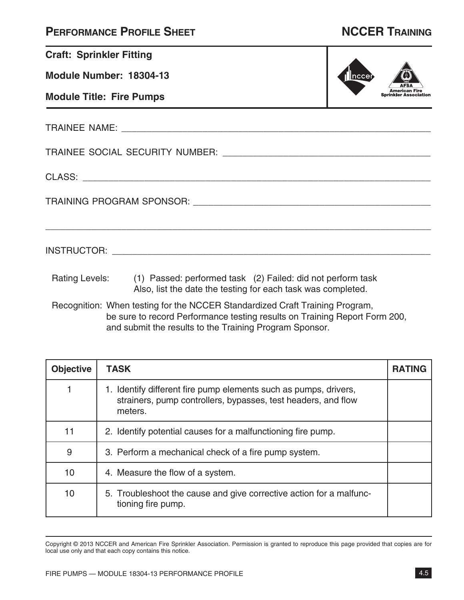## **PERFORMANCE PROFILE SHEET NCCER TRAINING**

| <b>Craft: Sprinkler Fitting</b> |                                                                                                                                            |        |  |
|---------------------------------|--------------------------------------------------------------------------------------------------------------------------------------------|--------|--|
| Module Number: 18304-13         |                                                                                                                                            | Inccer |  |
| <b>Module Title: Fire Pumps</b> |                                                                                                                                            |        |  |
|                                 |                                                                                                                                            |        |  |
|                                 |                                                                                                                                            |        |  |
|                                 |                                                                                                                                            |        |  |
|                                 |                                                                                                                                            |        |  |
|                                 |                                                                                                                                            |        |  |
|                                 | Rating Levels: (1) Passed: performed task (2) Failed: did not perform task<br>Also, list the date the testing for each task was completed. |        |  |
|                                 | Recognition: When testing for the NCCER Standardized Craft Training Program.                                                               |        |  |

Recognition: When testing for the NCCER Standardized Craft Training Program, be sure to record Performance testing results on Training Report Form 200, and submit the results to the Training Program Sponsor.

| <b>Objective</b> | <b>TASK</b>                                                                                                                                  | <b>RATING</b> |
|------------------|----------------------------------------------------------------------------------------------------------------------------------------------|---------------|
|                  | 1. Identify different fire pump elements such as pumps, drivers,<br>strainers, pump controllers, bypasses, test headers, and flow<br>meters. |               |
| 11               | 2. Identify potential causes for a malfunctioning fire pump.                                                                                 |               |
| 9                | 3. Perform a mechanical check of a fire pump system.                                                                                         |               |
| 10               | 4. Measure the flow of a system.                                                                                                             |               |
| 10               | 5. Troubleshoot the cause and give corrective action for a malfunc-<br>tioning fire pump.                                                    |               |

Copyright © 2013 NCCER and American Fire Sprinkler Association. Permission is granted to reproduce this page provided that copies are for local use only and that each copy contains this notice.